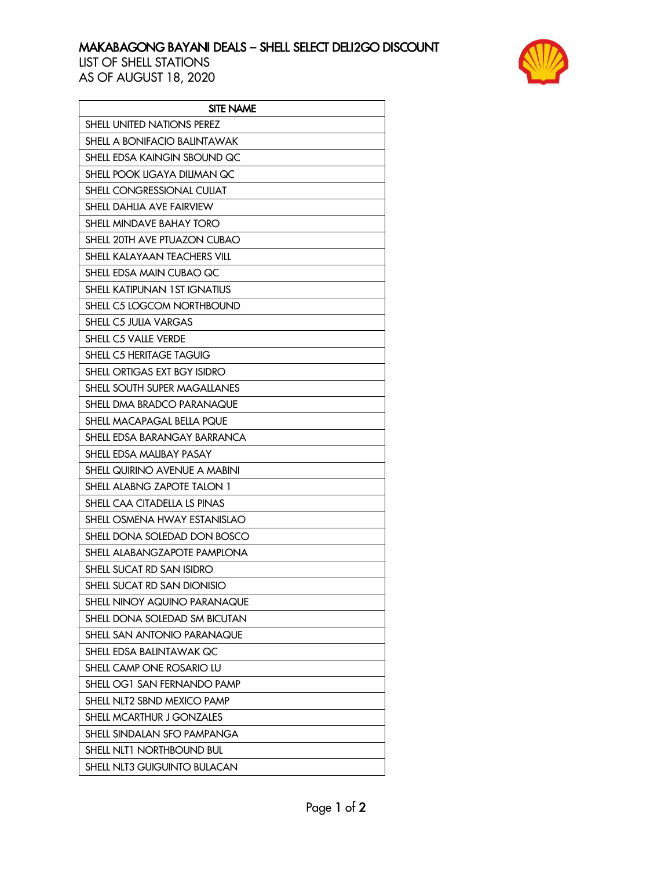## MAKABAGONG BAYANI DEALS – SHELL SELECT DELI2GO DISCOUNT

LIST OF SHELL STATIONS AS OF AUGUST 18, 2020



| <b>SITE NAME</b>                   |
|------------------------------------|
| SHELL UNITED NATIONS PEREZ         |
| SHELL A BONIFACIO BALINTAWAK       |
| SHELL EDSA KAINGIN SBOUND QC       |
| SHELL POOK LIGAYA DILIMAN QC       |
| SHELL CONGRESSIONAL CULIAT         |
| SHELL DAHLIA AVE FAIRVIEW          |
| SHELL MINDAVE BAHAY TORO           |
| SHELL 20TH AVE PTUAZON CUBAO       |
| SHELL KALAYAAN TEACHERS VILL       |
| SHELL EDSA MAIN CUBAO QC           |
| SHELL KATIPUNAN 1ST IGNATIUS       |
| SHELL C5 LOGCOM NORTHBOUND         |
| SHELL C5 JULIA VARGAS              |
| SHELL C5 VALLE VERDE               |
| SHELL C5 HERITAGE TAGUIG           |
| SHELL ORTIGAS EXT BGY ISIDRO       |
| SHELL SOUTH SUPER MAGALLANES       |
| SHELL DMA BRADCO PARANAQUE         |
| SHELL MACAPAGAL BELLA PQUE         |
| SHELL EDSA BARANGAY BARRANCA       |
| SHELL EDSA MALIBAY PASAY           |
| SHELL QUIRINO AVENUE A MABINI      |
| <b>SHELL ALABNG ZAPOTE TALON 1</b> |
| SHELL CAA CITADELLA LS PINAS       |
| SHELL OSMENA HWAY ESTANISLAO       |
| SHELL DONA SOLEDAD DON BOSCO       |
| SHELL ALABANGZAPOTE PAMPLONA       |
| SHELL SUCAT RD SAN ISIDRO          |
| SHELL SUCAT RD SAN DIONISIO        |
| SHELL NINOY AQUINO PARANAQUE       |
| SHELL DONA SOLEDAD SM BICUTAN      |
| SHELL SAN ANTONIO PARANAQUE        |
| SHELL EDSA BALINTAWAK QC           |
| SHELL CAMP ONE ROSARIO LU          |
| SHELL OG1 SAN FERNANDO PAMP        |
| SHELL NLT2 SBND MEXICO PAMP        |
| SHELL MCARTHUR J GONZALES          |
| SHELL SINDALAN SFO PAMPANGA        |
| SHELL NLT1 NORTHBOUND BUL          |
| SHELL NLT3 GUIGUINTO BULACAN       |